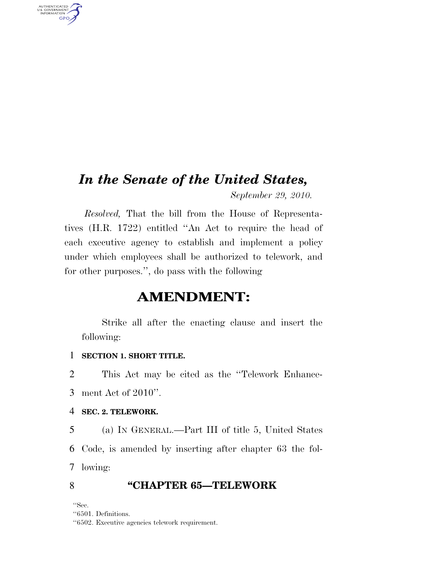## *In the Senate of the United States,*

*September 29, 2010.* 

*Resolved,* That the bill from the House of Representatives (H.R. 1722) entitled ''An Act to require the head of each executive agency to establish and implement a policy under which employees shall be authorized to telework, and for other purposes.'', do pass with the following

### **AMENDMENT:**

Strike all after the enacting clause and insert the following:

#### 1 **SECTION 1. SHORT TITLE.**

2 This Act may be cited as the ''Telework Enhance-

3 ment Act of 2010''.

#### 4 **SEC. 2. TELEWORK.**

5 (a) IN GENERAL.—Part III of title 5, United States 6 Code, is amended by inserting after chapter 63 the fol-7 lowing:

#### 8 **''CHAPTER 65—TELEWORK**

''Sec.

AUTHENTICATED<br>U.S. GOVERNMENT<br>INFORMATION **GPO** 

<sup>&#</sup>x27;'6501. Definitions.

<sup>&#</sup>x27;'6502. Executive agencies telework requirement.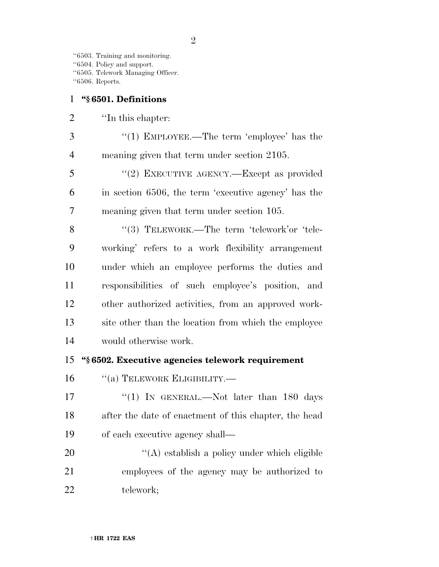''6503. Training and monitoring. ''6504. Policy and support. ''6505. Telework Managing Officer. ''6506. Reports.

#### **''§ 6501. Definitions**

2 <sup>"In this chapter:</sup>

3 "(1) EMPLOYEE.—The term 'employee' has the meaning given that term under section 2105.

 ''(2) EXECUTIVE AGENCY.—Except as provided in section 6506, the term 'executive agency' has the meaning given that term under section 105.

8 "(3) TELEWORK.—The term 'telework'or 'tele- working' refers to a work flexibility arrangement under which an employee performs the duties and responsibilities of such employee's position, and other authorized activities, from an approved work- site other than the location from which the employee would otherwise work.

#### **''§ 6502. Executive agencies telework requirement**

16 "(a) TELEWORK ELIGIBILITY.—

17 "(1) In GENERAL.—Not later than 180 days after the date of enactment of this chapter, the head of each executive agency shall—

20  $\langle (A)$  establish a policy under which eligible employees of the agency may be authorized to telework;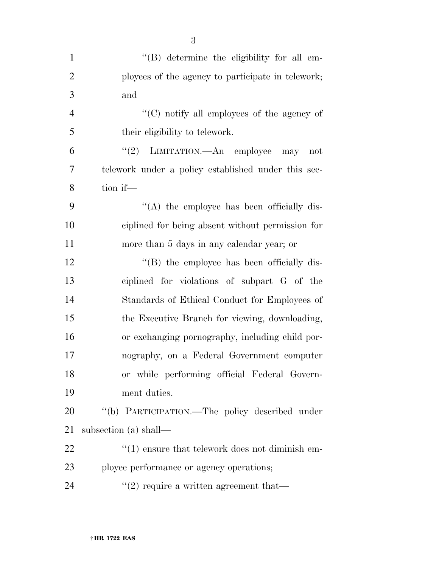| $\mathbf{1}$   | "(B) determine the eligibility for all em-             |
|----------------|--------------------------------------------------------|
|                |                                                        |
| $\overline{2}$ | ployees of the agency to participate in telework;      |
| 3              | and                                                    |
| $\overline{4}$ | $\lq\lq$ (C) notify all employees of the agency of     |
| 5              | their eligibility to telework.                         |
| 6              | LIMITATION.—An employee<br>(2)<br>may<br>not           |
| 7              | telework under a policy established under this sec-    |
| 8              | tion if-                                               |
| 9              | "(A) the employee has been officially dis-             |
| 10             | ciplined for being absent without permission for       |
| 11             | more than 5 days in any calendar year; or              |
| 12             | "(B) the employee has been officially dis-             |
| 13             | ciplined for violations of subpart G of the            |
| 14             | Standards of Ethical Conduct for Employees of          |
| 15             | the Executive Branch for viewing, downloading,         |
| 16             | or exchanging pornography, including child por-        |
| 17             | nography, on a Federal Government computer             |
| 18             | or while performing official Federal Govern-           |
| 19             | ment duties.                                           |
| 20             | "(b) PARTICIPATION.—The policy described under         |
| 21             | subsection (a) shall—                                  |
| 22             | $\cdot$ (1) ensure that telework does not diminish em- |
| 23             | ployee performance or agency operations;               |
| 24             | $\lq(2)$ require a written agreement that—             |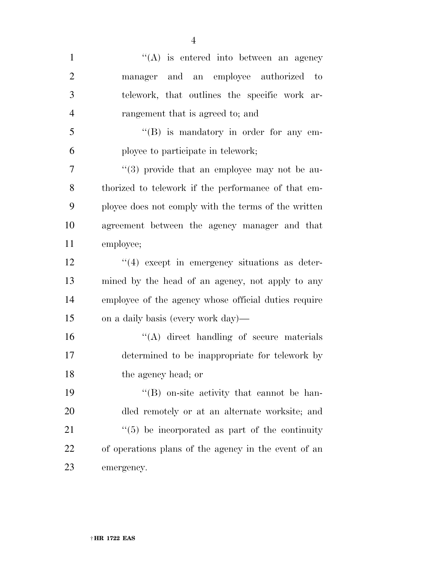| $\mathbf{1}$   | $\lq\lq$ is entered into between an agency                 |
|----------------|------------------------------------------------------------|
| $\overline{2}$ | manager and an employee authorized to                      |
| 3              | telework, that outlines the specific work ar-              |
| $\overline{4}$ | rangement that is agreed to; and                           |
| 5              | $\lq\lq (B)$ is mandatory in order for any em-             |
| 6              | ployee to participate in telework;                         |
| 7              | $(3)$ provide that an employee may not be au-              |
| 8              | thorized to telework if the performance of that em-        |
| 9              | ployee does not comply with the terms of the written       |
| 10             | agreement between the agency manager and that              |
| 11             | employee;                                                  |
| 12             | $(4)$ except in emergency situations as deter-             |
| 13             | mined by the head of an agency, not apply to any           |
| 14             | employee of the agency whose official duties require       |
| 15             | on a daily basis (every work day)—                         |
| 16             | $\lq\lq$ direct handling of secure materials               |
| 17             | determined to be inappropriate for telework by             |
| 18             | the agency head; or                                        |
| 19             | $\lq\lq$ (B) on-site activity that cannot be han-          |
| 20             | dled remotely or at an alternate worksite; and             |
| 21             | $\cdot\cdot$ (5) be incorporated as part of the continuity |
| 22             | of operations plans of the agency in the event of an       |
| 23             | emergency.                                                 |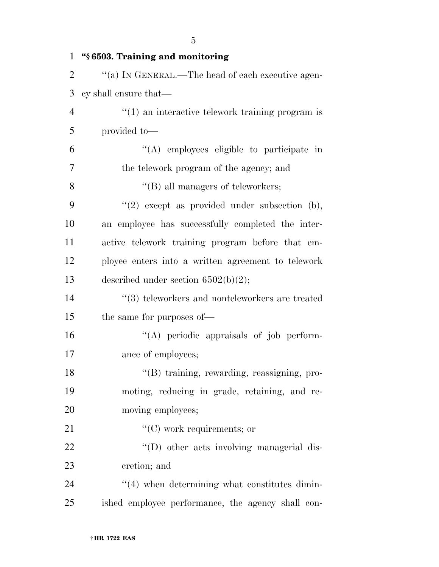| $\mathbf{1}$   | "§ 6503. Training and monitoring                                 |
|----------------|------------------------------------------------------------------|
| $\overline{2}$ | "(a) IN GENERAL.—The head of each executive agen-                |
| 3              | cy shall ensure that—                                            |
| $\overline{4}$ | $\cdot\cdot\cdot(1)$ an interactive telework training program is |
| 5              | provided to-                                                     |
| 6              | "(A) employees eligible to participate in                        |
| 7              | the telework program of the agency; and                          |
| 8              | $\lq\lq$ (B) all managers of teleworkers;                        |
| 9              | $"(2)$ except as provided under subsection (b),                  |
| 10             | an employee has successfully completed the inter-                |
| 11             | active telework training program before that em-                 |
| 12             | ployee enters into a written agreement to telework               |
| 13             | described under section $6502(b)(2)$ ;                           |
| 14             | $\cdot$ (3) teleworkers and nonteleworkers are treated           |
| 15             | the same for purposes of—                                        |
| 16             | "(A) periodic appraisals of job perform-                         |
| 17             | ance of employees;                                               |
| 18             | "(B) training, rewarding, reassigning, pro-                      |
| 19             | moting, reducing in grade, retaining, and re-                    |
| 20             | moving employees;                                                |
| 21             | $\lq\lq$ (C) work requirements; or                               |
| 22             | "(D) other acts involving managerial dis-                        |
| 23             | cretion; and                                                     |
| 24             | $\cdot\cdot\cdot(4)$ when determining what constitutes dimin-    |
| 25             | ished employee performance, the agency shall con-                |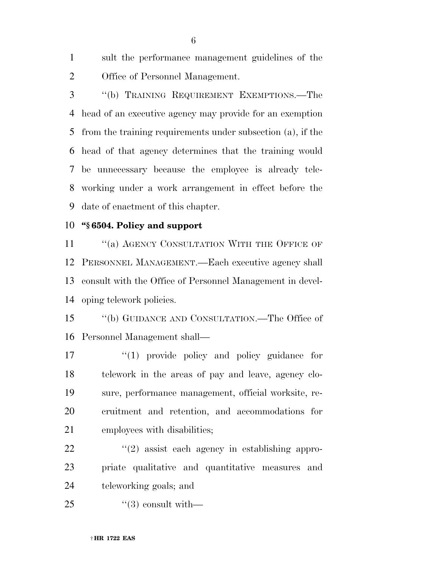sult the performance management guidelines of the Office of Personnel Management.

 ''(b) TRAINING REQUIREMENT EXEMPTIONS.—The head of an executive agency may provide for an exemption from the training requirements under subsection (a), if the head of that agency determines that the training would be unnecessary because the employee is already tele- working under a work arrangement in effect before the date of enactment of this chapter.

#### **''§ 6504. Policy and support**

11 "(a) AGENCY CONSULTATION WITH THE OFFICE OF PERSONNEL MANAGEMENT.—Each executive agency shall consult with the Office of Personnel Management in devel-oping telework policies.

 ''(b) GUIDANCE AND CONSULTATION.—The Office of Personnel Management shall—

 $\frac{1}{2}$  (1) provide policy and policy guidance for telework in the areas of pay and leave, agency clo- sure, performance management, official worksite, re- cruitment and retention, and accommodations for employees with disabilities;

 $\frac{22}{2}$  ''(2) assist each agency in establishing appro- priate qualitative and quantitative measures and teleworking goals; and

''(3) consult with—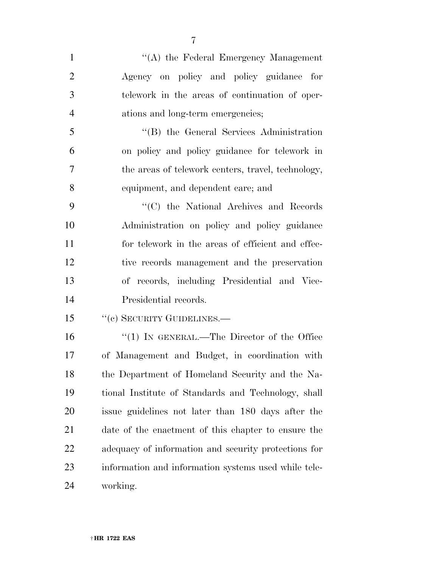| $\mathbf{1}$   | "(A) the Federal Emergency Management                |
|----------------|------------------------------------------------------|
| $\overline{2}$ | Agency on policy and policy guidance for             |
| 3              | telework in the areas of continuation of oper-       |
| $\overline{4}$ | ations and long-term emergencies;                    |
| 5              | "(B) the General Services Administration             |
| 6              | on policy and policy guidance for telework in        |
| $\overline{7}$ | the areas of telework centers, travel, technology,   |
| 8              | equipment, and dependent care; and                   |
| 9              | "(C) the National Archives and Records"              |
| 10             | Administration on policy and policy guidance         |
| 11             | for telework in the areas of efficient and effec-    |
| 12             | tive records management and the preservation         |
| 13             | of records, including Presidential and Vice-         |
| 14             | Presidential records.                                |
| 15             | "(c) SECURITY GUIDELINES.-                           |
| 16             | "(1) IN GENERAL.—The Director of the Office          |
| 17             | of Management and Budget, in coordination with       |
| 18             | the Department of Homeland Security and the Na-      |
| 19             | tional Institute of Standards and Technology, shall  |
| 20             | issue guidelines not later than 180 days after the   |
| 21             | date of the enactment of this chapter to ensure the  |
| 22             | adequacy of information and security protections for |
| 23             | information and information systems used while tele- |
| 24             | working.                                             |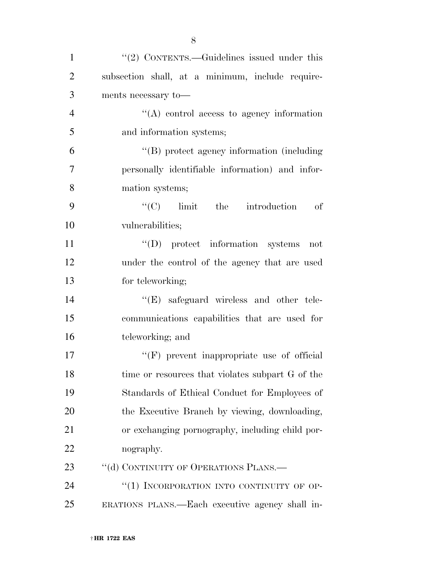| $\mathbf{1}$   | " $(2)$ CONTENTS.—Guidelines issued under this   |
|----------------|--------------------------------------------------|
| $\overline{2}$ | subsection shall, at a minimum, include require- |
| 3              | ments necessary to<br>— $\,$                     |
| $\overline{4}$ | "(A) control access to agency information        |
| 5              | and information systems;                         |
| 6              | "(B) protect agency information (including       |
| 7              | personally identifiable information) and infor-  |
| 8              | mation systems;                                  |
| 9              | $\lq\lq$ (C) limit the introduction<br>of        |
| 10             | vulnerabilities;                                 |
| 11             | $\lq\lq$ protect information systems<br>not      |
| 12             | under the control of the agency that are used    |
| 13             | for teleworking;                                 |
| 14             | "(E) safeguard wireless and other tele-          |
| 15             | communications capabilities that are used for    |
| 16             | teleworking; and                                 |
| 17             | "(F) prevent inappropriate use of official       |
| 18             | time or resources that violates subpart G of the |
| 19             | Standards of Ethical Conduct for Employees of    |
| 20             | the Executive Branch by viewing, downloading,    |
| 21             | or exchanging pornography, including child por-  |
| 22             | nography.                                        |
| 23             | "(d) CONTINUITY OF OPERATIONS PLANS.-            |
| 24             | "(1) INCORPORATION INTO CONTINUITY OF OP-        |
| 25             | ERATIONS PLANS.—Each executive agency shall in-  |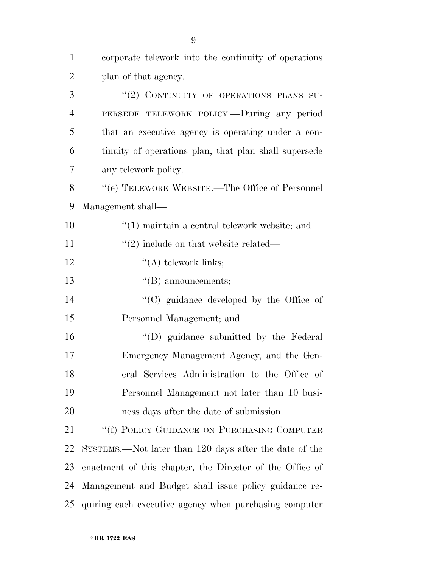| $\mathbf{1}$   | corporate telework into the continuity of operations          |
|----------------|---------------------------------------------------------------|
| $\overline{2}$ | plan of that agency.                                          |
| 3              | "(2) CONTINUITY OF OPERATIONS PLANS SU-                       |
| $\overline{4}$ | PERSEDE TELEWORK POLICY.—During any period                    |
| 5              | that an executive agency is operating under a con-            |
| 6              | tinuity of operations plan, that plan shall supersede         |
| 7              | any telework policy.                                          |
| 8              | $``$ (e) TELEWORK WEBSITE.—The Office of Personnel            |
| 9              | Management shall—                                             |
| 10             | $\cdot\cdot\cdot(1)$ maintain a central telework website; and |
| 11             | $\cdot\cdot(2)$ include on that website related—              |
| 12             | $\lq\lq$ telework links;                                      |
| 13             | $\lq\lq$ announcements;                                       |
| 14             | "(C) guidance developed by the Office of                      |
| 15             | Personnel Management; and                                     |
| 16             | "(D) guidance submitted by the Federal                        |
| 17             | Emergency Management Agency, and the Gen-                     |
| 18             | eral Services Administration to the Office of                 |
| 19             | Personnel Management not later than 10 busi-                  |
| 20             | ness days after the date of submission.                       |
| 21             | "(f) POLICY GUIDANCE ON PURCHASING COMPUTER                   |
| 22             | SYSTEMS.—Not later than 120 days after the date of the        |
| 23             | enactment of this chapter, the Director of the Office of      |
| 24             | Management and Budget shall issue policy guidance re-         |
| 25             | quiring each executive agency when purchasing computer        |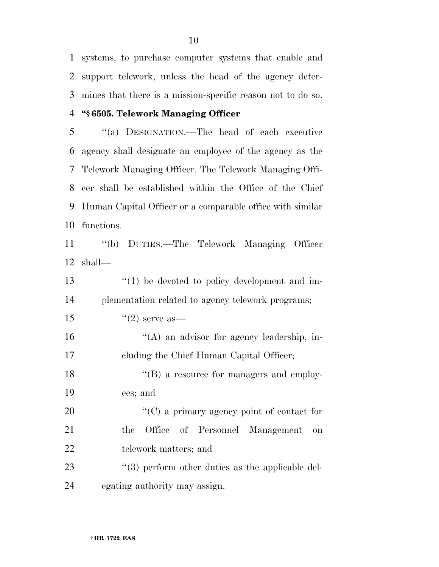systems, to purchase computer systems that enable and support telework, unless the head of the agency deter-mines that there is a mission-specific reason not to do so.

#### **''§ 6505. Telework Managing Officer**

 ''(a) DESIGNATION.—The head of each executive agency shall designate an employee of the agency as the Telework Managing Officer. The Telework Managing Offi- cer shall be established within the Office of the Chief Human Capital Officer or a comparable office with similar functions.

 ''(b) DUTIES.—The Telework Managing Officer shall—

| 13 | $\lq(1)$ be devoted to policy development and im-    |
|----|------------------------------------------------------|
| 14 | plementation related to agency telework programs;    |
| 15 | $\lq(2)$ serve as —                                  |
| 16 | $\lq\lq$ an advisor for agency leadership, in-       |
| 17 | eluding the Chief Human Capital Officer;             |
| 18 | $\lq\lq (B)$ a resource for managers and employ-     |
| 19 | ees; and                                             |
| 20 | " $(C)$ a primary agency point of contact for        |
| 21 | Office of Personnel Management<br>the.<br>on         |
| 22 | telework matters; and                                |
| 23 | $\lq(3)$ perform other duties as the applicable del- |
| 24 | egating authority may assign.                        |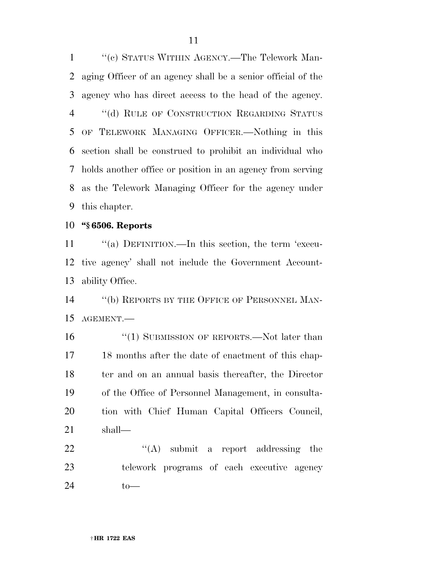''(c) STATUS WITHIN AGENCY.—The Telework Man- aging Officer of an agency shall be a senior official of the agency who has direct access to the head of the agency. 4 "(d) RULE OF CONSTRUCTION REGARDING STATUS OF TELEWORK MANAGING OFFICER.—Nothing in this section shall be construed to prohibit an individual who holds another office or position in an agency from serving as the Telework Managing Officer for the agency under this chapter.

**''§ 6506. Reports** 

11 "(a) DEFINITION.—In this section, the term 'execu- tive agency' shall not include the Government Account-ability Office.

14 "(b) REPORTS BY THE OFFICE OF PERSONNEL MAN-AGEMENT.—

16 "(1) SUBMISSION OF REPORTS.—Not later than 18 months after the date of enactment of this chap- ter and on an annual basis thereafter, the Director of the Office of Personnel Management, in consulta- tion with Chief Human Capital Officers Council, shall—

  $"$   $(A)$  submit a report addressing the telework programs of each executive agency to—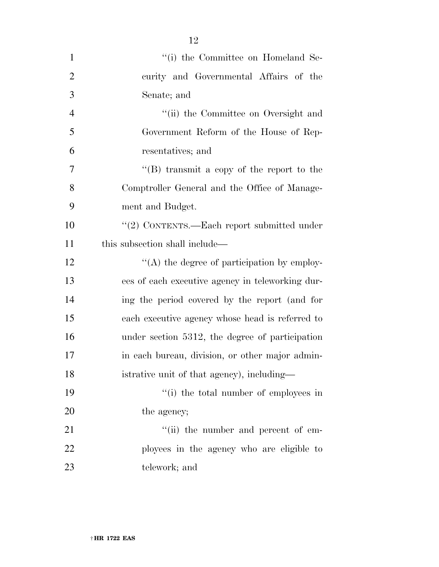| $\mathbf{1}$   | "(i) the Committee on Homeland Se-               |
|----------------|--------------------------------------------------|
| $\overline{2}$ | curity and Governmental Affairs of the           |
| 3              | Senate; and                                      |
| $\overline{4}$ | "(ii) the Committee on Oversight and             |
| 5              | Government Reform of the House of Rep-           |
| 6              | resentatives; and                                |
| $\overline{7}$ | "(B) transmit a copy of the report to the        |
| 8              | Comptroller General and the Office of Manage-    |
| 9              | ment and Budget.                                 |
| 10             | "(2) CONTENTS.—Each report submitted under       |
| 11             | this subsection shall include—                   |
| 12             | $\lq\lq$ the degree of participation by employ-  |
| 13             | ees of each executive agency in teleworking dur- |
| 14             | ing the period covered by the report (and for    |
| 15             | each executive agency whose head is referred to  |
| 16             | under section 5312, the degree of participation  |
| 17             | in each bureau, division, or other major admin-  |
| 18             | istrative unit of that agency), including—       |
| 19             | "(i) the total number of employees in            |
| 20             | the agency;                                      |
| 21             | $``$ (ii) the number and percent of em-          |
| 22             | ployees in the agency who are eligible to        |
| 23             | telework; and                                    |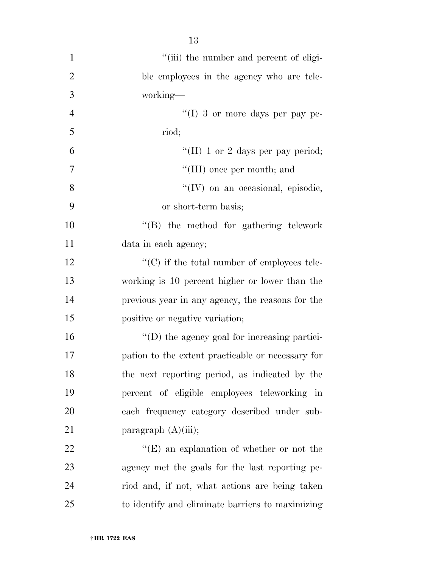| $\mathbf{1}$   | "(iii) the number and percent of eligi-             |
|----------------|-----------------------------------------------------|
| $\overline{2}$ | ble employees in the agency who are tele-           |
| $\mathfrak{Z}$ | working—                                            |
| $\overline{4}$ | "(I) 3 or more days per pay pe-                     |
| 5              | riod;                                               |
| 6              | "(II) 1 or 2 days per pay period;                   |
| 7              | "(III) once per month; and                          |
| 8              | "(IV) on an occasional, episodic,                   |
| 9              | or short-term basis;                                |
| 10             | "(B) the method for gathering telework              |
| 11             | data in each agency;                                |
| 12             | $\lq\lq$ (C) if the total number of employees tele- |
| 13             | working is 10 percent higher or lower than the      |
| 14             | previous year in any agency, the reasons for the    |
| 15             | positive or negative variation;                     |
| 16             | $\lq\lq$ the agency goal for increasing partici-    |
| 17             | pation to the extent practicable or necessary for   |
| 18             | the next reporting period, as indicated by the      |
| 19             | percent of eligible employees teleworking in        |
| 20             | each frequency category described under sub-        |
| 21             | paragraph $(A)(iii)$ ;                              |
| 22             | " $(E)$ an explanation of whether or not the        |
| 23             | agency met the goals for the last reporting pe-     |
| 24             | riod and, if not, what actions are being taken      |
| 25             | to identify and eliminate barriers to maximizing    |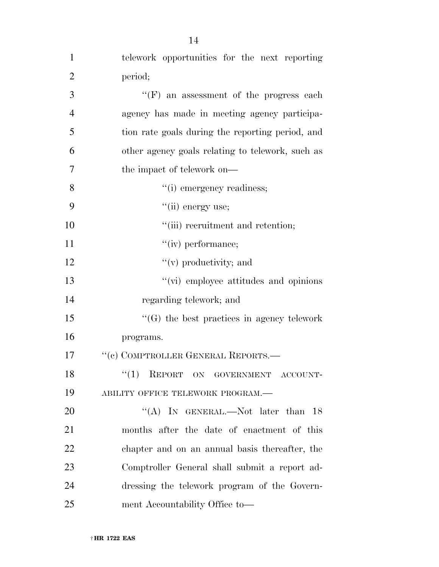| $\mathbf{1}$   | telework opportunities for the next reporting     |
|----------------|---------------------------------------------------|
| $\overline{2}$ | period;                                           |
| 3              | $``(F)$ an assessment of the progress each        |
| $\overline{4}$ | agency has made in meeting agency participa-      |
| 5              | tion rate goals during the reporting period, and  |
| 6              | other agency goals relating to telework, such as  |
| 7              | the impact of telework on—                        |
| 8              | "(i) emergency readiness;                         |
| 9              | "(ii) energy use;                                 |
| 10             | "(iii) recruitment and retention;                 |
| 11             | $``(iv)$ performance;                             |
| 12             | $f'(v)$ productivity; and                         |
| 13             | "(vi) employee attitudes and opinions             |
| 14             | regarding telework; and                           |
| 15             | $\lq\lq(G)$ the best practices in agency telework |
| 16             | programs.                                         |
| 17             | "(c) COMPTROLLER GENERAL REPORTS.-                |
| 18             | ``(1)<br>REPORT ON GOVERNMENT ACCOUNT-            |
| 19             | ABILITY OFFICE TELEWORK PROGRAM.-                 |
| 20             | "(A) IN GENERAL.—Not later than $18$              |
| 21             | months after the date of enactment of this        |
| 22             | chapter and on an annual basis thereafter, the    |
| 23             | Comptroller General shall submit a report ad-     |
| 24             | dressing the telework program of the Govern-      |
| 25             | ment Accountability Office to-                    |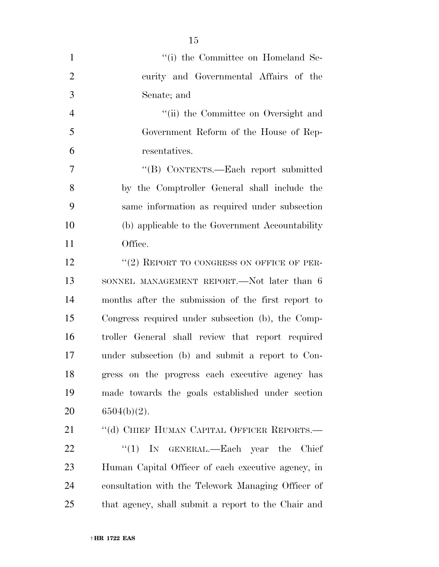| $\mathbf{1}$   | "(i) the Committee on Homeland Se-                  |
|----------------|-----------------------------------------------------|
| $\overline{2}$ | curity and Governmental Affairs of the              |
| 3              | Senate; and                                         |
| $\overline{4}$ | "(ii) the Committee on Oversight and                |
| 5              | Government Reform of the House of Rep-              |
| 6              | resentatives.                                       |
| 7              | "(B) CONTENTS.—Each report submitted                |
| 8              | by the Comptroller General shall include the        |
| 9              | same information as required under subsection       |
| 10             | (b) applicable to the Government Accountability     |
| 11             | Office.                                             |
| 12             | "(2) REPORT TO CONGRESS ON OFFICE OF PER-           |
| 13             | SONNEL MANAGEMENT REPORT.—Not later than 6          |
| 14             | months after the submission of the first report to  |
| 15             | Congress required under subsection (b), the Comp-   |
| 16             | troller General shall review that report required   |
| 17             | under subsection (b) and submit a report to Con-    |
| 18             | gress on the progress each executive agency has     |
| 19             | made towards the goals established under section    |
| 20             | $6504(b)(2)$ .                                      |
| 21             | "(d) CHIEF HUMAN CAPITAL OFFICER REPORTS.—          |
| 22             | ``(1)<br>IN GENERAL.—Each year the Chief            |
| 23             | Human Capital Officer of each executive agency, in  |
| 24             | consultation with the Telework Managing Officer of  |
| 25             | that agency, shall submit a report to the Chair and |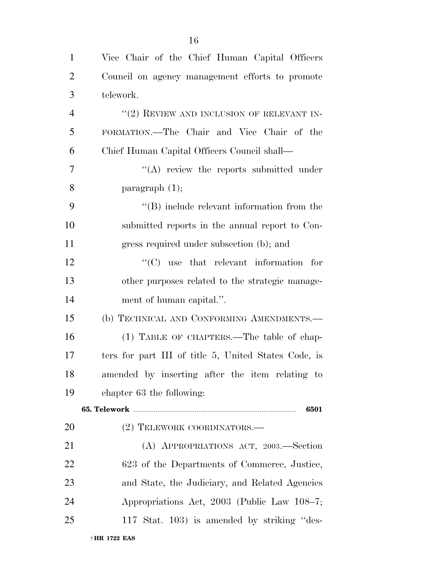| $\mathbf{1}$   | Vice Chair of the Chief Human Capital Officers       |
|----------------|------------------------------------------------------|
| $\overline{2}$ | Council on agency management efforts to promote      |
| 3              | telework.                                            |
| $\overline{4}$ | $``(2)$ REVIEW AND INCLUSION OF RELEVANT IN-         |
| 5              | FORMATION.—The Chair and Vice Chair of the           |
| 6              | Chief Human Capital Officers Council shall—          |
| 7              | $\lq\lq$ review the reports submitted under          |
| 8              | paragraph $(1)$ ;                                    |
| 9              | $\lq\lq$ include relevant information from the       |
| 10             | submitted reports in the annual report to Con-       |
| 11             | gress required under subsection (b); and             |
| 12             | $\lq\lq$ use that relevant information for           |
| 13             | other purposes related to the strategic manage-      |
| 14             | ment of human capital.".                             |
| 15             | (b) TECHNICAL AND CONFORMING AMENDMENTS.-            |
| 16             | (1) TABLE OF CHAPTERS.—The table of chap-            |
| 17             | ters for part III of title 5, United States Code, is |
| 18             | amended by inserting after the item relating to      |
| 19             | chapter 63 the following:                            |
|                | 6501                                                 |
| <b>20</b>      | (2) TELEWORK COORDINATORS.-                          |
| 21             | (A) APPROPRIATIONS ACT, 2003.—Section                |
| 22             | 623 of the Departments of Commerce, Justice,         |
| 23             | and State, the Judiciary, and Related Agencies       |
| 24             | Appropriations Act, 2003 (Public Law 108-7;          |
| 25             | 117 Stat. 103) is amended by striking "des-          |
|                | † HR 1722 EAS                                        |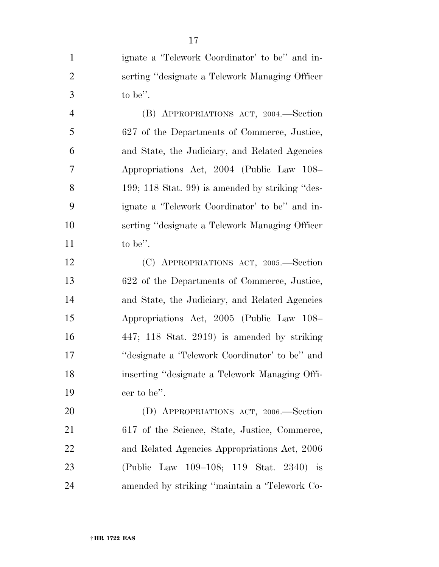ignate a 'Telework Coordinator' to be'' and in- serting ''designate a Telework Managing Officer to be''.

 (B) APPROPRIATIONS ACT, 2004.—Section 627 of the Departments of Commerce, Justice, and State, the Judiciary, and Related Agencies Appropriations Act, 2004 (Public Law 108– 199; 118 Stat. 99) is amended by striking ''des- ignate a 'Telework Coordinator' to be'' and in- serting ''designate a Telework Managing Officer to be".

 (C) APPROPRIATIONS ACT, 2005.—Section 622 of the Departments of Commerce, Justice, and State, the Judiciary, and Related Agencies Appropriations Act, 2005 (Public Law 108– 447; 118 Stat. 2919) is amended by striking ''designate a 'Telework Coordinator' to be'' and inserting ''designate a Telework Managing Offi-cer to be''.

 (D) APPROPRIATIONS ACT, 2006.—Section 617 of the Science, State, Justice, Commerce, and Related Agencies Appropriations Act, 2006 (Public Law 109–108; 119 Stat. 2340) is amended by striking ''maintain a 'Telework Co-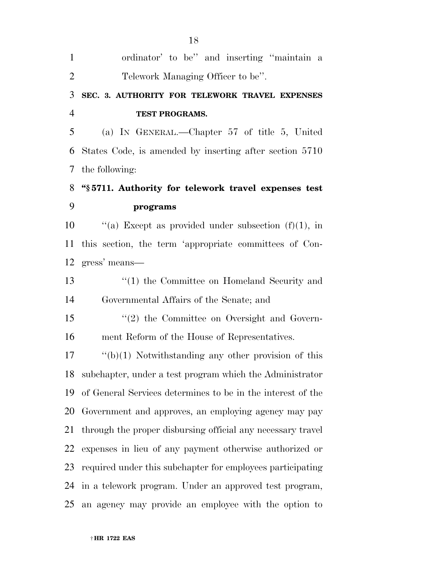| $\mathbf{1}$   | ordinator' to be" and inserting "maintain a                 |
|----------------|-------------------------------------------------------------|
| $\overline{2}$ | Telework Managing Officer to be".                           |
| 3              | SEC. 3. AUTHORITY FOR TELEWORK TRAVEL EXPENSES              |
| $\overline{4}$ | TEST PROGRAMS.                                              |
| 5              | (a) IN GENERAL.—Chapter 57 of title 5, United               |
| 6              | States Code, is amended by inserting after section 5710     |
| 7              | the following:                                              |
| 8              | "§5711. Authority for telework travel expenses test         |
| 9              | programs                                                    |
| 10             | "(a) Except as provided under subsection $(f)(1)$ , in      |
| 11             | this section, the term 'appropriate committees of Con-      |
| 12             | gress' means—                                               |
| 13             | $\lq(1)$ the Committee on Homeland Security and             |
| 14             | Governmental Affairs of the Senate; and                     |
| 15             | "(2) the Committee on Oversight and Govern-                 |
| 16             | ment Reform of the House of Representatives.                |
| 17             | $\lq\lq(b)(1)$ Notwithstanding any other provision of this  |
| 18             | subchapter, under a test program which the Administrator    |
| 19             | of General Services determines to be in the interest of the |
| 20             | Government and approves, an employing agency may pay        |
| 21             | through the proper disbursing official any necessary travel |
| 22             | expenses in lieu of any payment otherwise authorized or     |
| 23             | required under this subchapter for employees participating  |
| 24             | in a telework program. Under an approved test program,      |
| 25             | an agency may provide an employee with the option to        |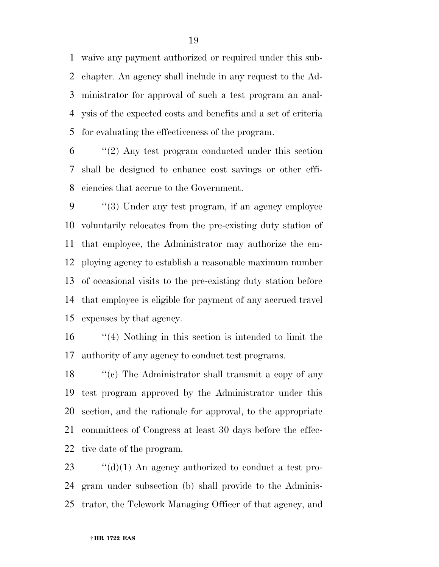waive any payment authorized or required under this sub- chapter. An agency shall include in any request to the Ad- ministrator for approval of such a test program an anal- ysis of the expected costs and benefits and a set of criteria for evaluating the effectiveness of the program.

 "(2) Any test program conducted under this section shall be designed to enhance cost savings or other effi-ciencies that accrue to the Government.

 ''(3) Under any test program, if an agency employee voluntarily relocates from the pre-existing duty station of that employee, the Administrator may authorize the em- ploying agency to establish a reasonable maximum number of occasional visits to the pre-existing duty station before that employee is eligible for payment of any accrued travel expenses by that agency.

 ''(4) Nothing in this section is intended to limit the authority of any agency to conduct test programs.

18 ''(c) The Administrator shall transmit a copy of any test program approved by the Administrator under this section, and the rationale for approval, to the appropriate committees of Congress at least 30 days before the effec-tive date of the program.

 ''(d)(1) An agency authorized to conduct a test pro- gram under subsection (b) shall provide to the Adminis-trator, the Telework Managing Officer of that agency, and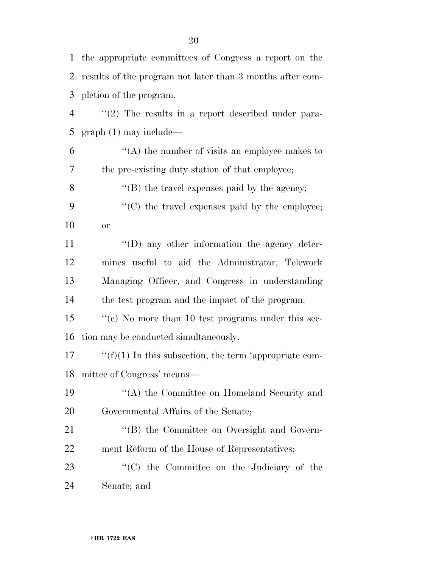| $\mathbf{1}$   | the appropriate committees of Congress a report on the    |
|----------------|-----------------------------------------------------------|
| 2              | results of the program not later than 3 months after com- |
| 3              | pletion of the program.                                   |
| $\overline{4}$ | $\lq(2)$ The results in a report described under para-    |
| 5              | $graph(1)$ may include—                                   |
| 6              | "(A) the number of visits an employee makes to            |
| $\tau$         | the pre-existing duty station of that employee;           |
| 8              | " $(B)$ the travel expenses paid by the agency;           |
| 9              | "(C) the travel expenses paid by the employee;            |
| 10             | <b>or</b>                                                 |
| 11             | $\lq\lq$ . The sum of the information the agency deter-   |
| 12             | mines useful to aid the Administrator, Telework           |
| 13             | Managing Officer, and Congress in understanding           |
| 14             | the test program and the impact of the program.           |
| 15             | "(e) No more than 10 test programs under this sec-        |
| 16             | tion may be conducted simultaneously.                     |
| 17             | " $(f)(1)$ In this subsection, the term 'appropriate com- |
| 18             | mittee of Congress' means—                                |
| 19             | "(A) the Committee on Homeland Security and               |
| 20             | Governmental Affairs of the Senate;                       |
| 21             | "(B) the Committee on Oversight and Govern-               |
| 22             | ment Reform of the House of Representatives;              |
| 23             | "(C) the Committee on the Judiciary of the                |
| 24             | Senate; and                                               |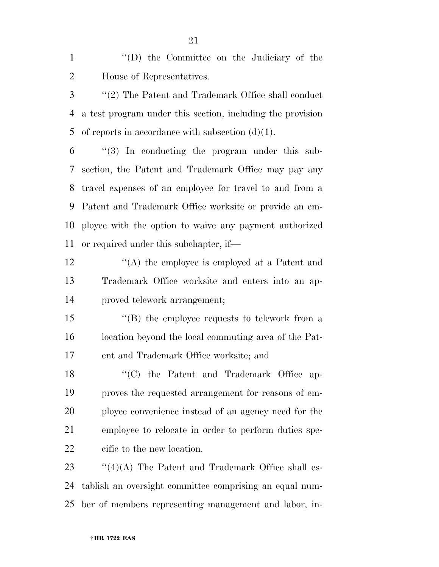''(D) the Committee on the Judiciary of the House of Representatives.

 ''(2) The Patent and Trademark Office shall conduct a test program under this section, including the provision 5 of reports in accordance with subsection  $(d)(1)$ .

 ''(3) In conducting the program under this sub- section, the Patent and Trademark Office may pay any travel expenses of an employee for travel to and from a Patent and Trademark Office worksite or provide an em- ployee with the option to waive any payment authorized or required under this subchapter, if—

 ''(A) the employee is employed at a Patent and Trademark Office worksite and enters into an ap-proved telework arrangement;

 ''(B) the employee requests to telework from a location beyond the local commuting area of the Pat-ent and Trademark Office worksite; and

18 ''(C) the Patent and Trademark Office ap- proves the requested arrangement for reasons of em- ployee convenience instead of an agency need for the employee to relocate in order to perform duties spe-cific to the new location.

23  $\frac{1}{4}(4)(A)$  The Patent and Trademark Office shall es- tablish an oversight committee comprising an equal num-ber of members representing management and labor, in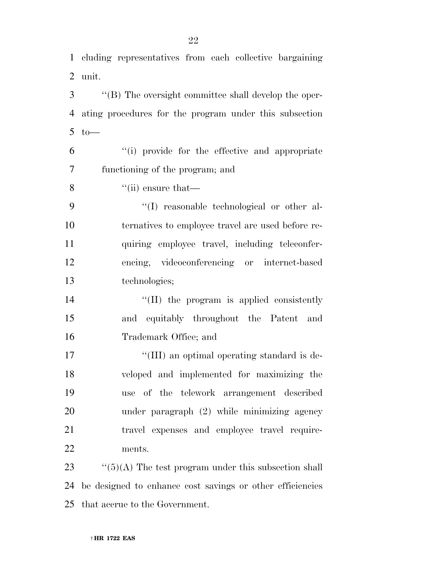cluding representatives from each collective bargaining unit.

 ''(B) The oversight committee shall develop the oper- ating procedures for the program under this subsection to—

 ''(i) provide for the effective and appropriate functioning of the program; and

''(ii) ensure that—

 $\langle (I)$  reasonable technological or other al- ternatives to employee travel are used before re- quiring employee travel, including teleconfer- encing, videoconferencing or internet-based technologies;

14  $\text{``(II)}$  the program is applied consistently and equitably throughout the Patent and Trademark Office; and

 $\frac{17}{100}$  an optimal operating standard is de- veloped and implemented for maximizing the use of the telework arrangement described under paragraph (2) while minimizing agency travel expenses and employee travel require-ments.

23  $\frac{1}{2}$  (5)(A) The test program under this subsection shall be designed to enhance cost savings or other efficiencies that accrue to the Government.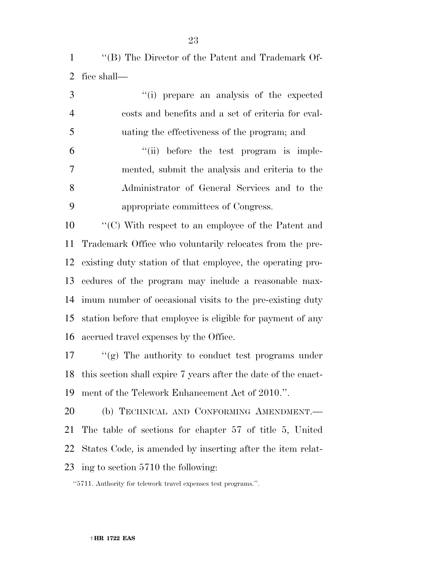''(B) The Director of the Patent and Trademark Of-fice shall—

 ''(i) prepare an analysis of the expected costs and benefits and a set of criteria for eval- uating the effectiveness of the program; and ''(ii) before the test program is imple- mented, submit the analysis and criteria to the Administrator of General Services and to the appropriate committees of Congress. ''(C) With respect to an employee of the Patent and

 Trademark Office who voluntarily relocates from the pre- existing duty station of that employee, the operating pro- cedures of the program may include a reasonable max- imum number of occasional visits to the pre-existing duty station before that employee is eligible for payment of any accrued travel expenses by the Office.

 ''(g) The authority to conduct test programs under this section shall expire 7 years after the date of the enact-ment of the Telework Enhancement Act of 2010.''.

 (b) TECHNICAL AND CONFORMING AMENDMENT.— The table of sections for chapter 57 of title 5, United States Code, is amended by inserting after the item relat-ing to section 5710 the following:

''5711. Authority for telework travel expenses test programs.''.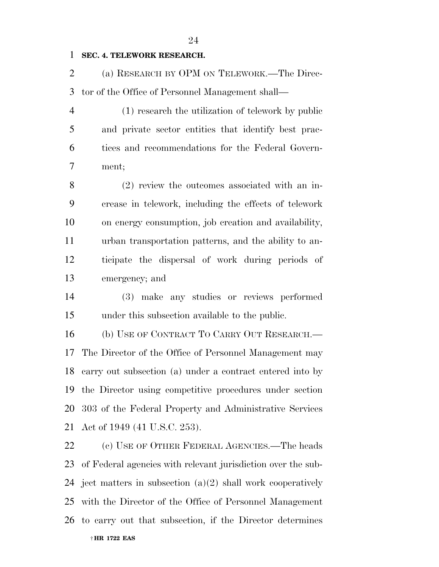#### **SEC. 4. TELEWORK RESEARCH.**

 (a) RESEARCH BY OPM ON TELEWORK.—The Direc-tor of the Office of Personnel Management shall—

 (1) research the utilization of telework by public and private sector entities that identify best prac- tices and recommendations for the Federal Govern-ment;

 (2) review the outcomes associated with an in- crease in telework, including the effects of telework on energy consumption, job creation and availability, urban transportation patterns, and the ability to an- ticipate the dispersal of work during periods of emergency; and

 (3) make any studies or reviews performed under this subsection available to the public.

 (b) USE OF CONTRACT TO CARRY OUT RESEARCH.— The Director of the Office of Personnel Management may carry out subsection (a) under a contract entered into by the Director using competitive procedures under section 303 of the Federal Property and Administrative Services Act of 1949 (41 U.S.C. 253).

† **HR 1722 EAS**  (c) USE OF OTHER FEDERAL AGENCIES.—The heads of Federal agencies with relevant jurisdiction over the sub-24 ject matters in subsection  $(a)(2)$  shall work cooperatively with the Director of the Office of Personnel Management to carry out that subsection, if the Director determines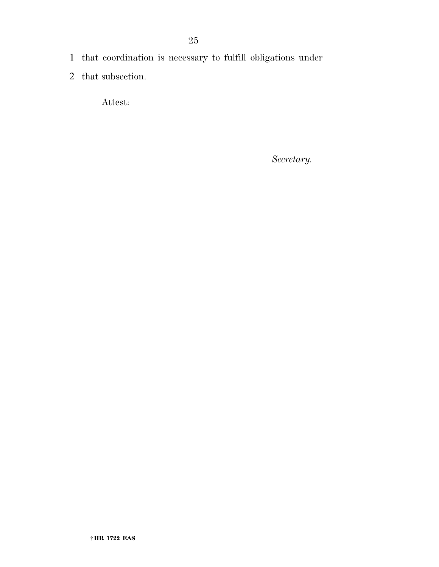- 1 that coordination is necessary to fulfill obligations under
- 2 that subsection.

Attest:

*Secretary.*